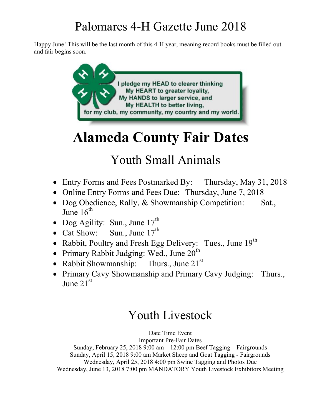Happy June! This will be the last month of this 4-H year, meaning record books must be filled out and fair begins soon.



# Alameda County Fair Dates

# Youth Small Animals

- Entry Forms and Fees Postmarked By: Thursday, May 31, 2018
- Online Entry Forms and Fees Due: Thursday, June 7, 2018
- Dog Obedience, Rally, & Showmanship Competition: Sat., June  $16^{th}$
- Dog Agility: Sun., June  $17<sup>th</sup>$
- Cat Show: Sun., June  $17^{th}$
- Rabbit, Poultry and Fresh Egg Delivery: Tues., June  $19<sup>th</sup>$
- Primary Rabbit Judging: Wed., June  $20<sup>th</sup>$
- Rabbit Showmanship: Thurs., June  $21^{st}$
- Primary Cavy Showmanship and Primary Cavy Judging: Thurs., June  $21<sup>st</sup>$

## Youth Livestock

Date Time Event

Important Pre-Fair Dates

Sunday, February 25, 2018 9:00 am – 12:00 pm Beef Tagging – Fairgrounds Sunday, April 15, 2018 9:00 am Market Sheep and Goat Tagging - Fairgrounds Wednesday, April 25, 2018 4:00 pm Swine Tagging and Photos Due Wednesday, June 13, 2018 7:00 pm MANDATORY Youth Livestock Exhibitors Meeting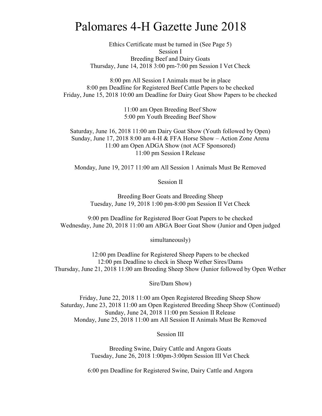Ethics Certificate must be turned in (See Page 5) Session I Breeding Beef and Dairy Goats Thursday, June 14, 2018 3:00 pm-7:00 pm Session I Vet Check

8:00 pm All Session I Animals must be in place 8:00 pm Deadline for Registered Beef Cattle Papers to be checked Friday, June 15, 2018 10:00 am Deadline for Dairy Goat Show Papers to be checked

> 11:00 am Open Breeding Beef Show 5:00 pm Youth Breeding Beef Show

Saturday, June 16, 2018 11:00 am Dairy Goat Show (Youth followed by Open) Sunday, June 17, 2018 8:00 am 4-H & FFA Horse Show – Action Zone Arena 11:00 am Open ADGA Show (not ACF Sponsored) 11:00 pm Session I Release

Monday, June 19, 2017 11:00 am All Session 1 Animals Must Be Removed

Session II

Breeding Boer Goats and Breeding Sheep Tuesday, June 19, 2018 1:00 pm-8:00 pm Session II Vet Check

9:00 pm Deadline for Registered Boer Goat Papers to be checked Wednesday, June 20, 2018 11:00 am ABGA Boer Goat Show (Junior and Open judged

simultaneously)

12:00 pm Deadline for Registered Sheep Papers to be checked 12:00 pm Deadline to check in Sheep Wether Sires/Dams Thursday, June 21, 2018 11:00 am Breeding Sheep Show (Junior followed by Open Wether

Sire/Dam Show)

Friday, June 22, 2018 11:00 am Open Registered Breeding Sheep Show Saturday, June 23, 2018 11:00 am Open Registered Breeding Sheep Show (Continued) Sunday, June 24, 2018 11:00 pm Session II Release Monday, June 25, 2018 11:00 am All Session II Animals Must Be Removed

Session III

Breeding Swine, Dairy Cattle and Angora Goats Tuesday, June 26, 2018 1:00pm-3:00pm Session III Vet Check

6:00 pm Deadline for Registered Swine, Dairy Cattle and Angora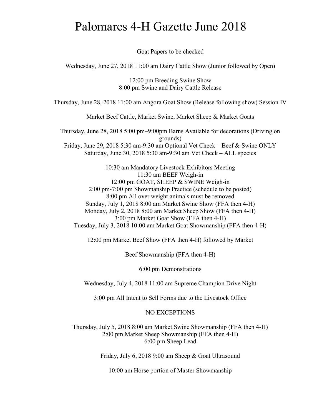Goat Papers to be checked

Wednesday, June 27, 2018 11:00 am Dairy Cattle Show (Junior followed by Open)

12:00 pm Breeding Swine Show 8:00 pm Swine and Dairy Cattle Release

Thursday, June 28, 2018 11:00 am Angora Goat Show (Release following show) Session IV

Market Beef Cattle, Market Swine, Market Sheep & Market Goats

Thursday, June 28, 2018 5:00 pm–9:00pm Barns Available for decorations (Driving on grounds)

Friday, June 29, 2018 5:30 am-9:30 am Optional Vet Check – Beef & Swine ONLY Saturday, June 30, 2018 5:30 am-9:30 am Vet Check – ALL species

10:30 am Mandatory Livestock Exhibitors Meeting 11:30 am BEEF Weigh-in 12:00 pm GOAT, SHEEP & SWINE Weigh-in 2:00 pm-7:00 pm Showmanship Practice (schedule to be posted) 8:00 pm All over weight animals must be removed Sunday, July 1, 2018 8:00 am Market Swine Show (FFA then 4-H) Monday, July 2, 2018 8:00 am Market Sheep Show (FFA then 4-H) 3:00 pm Market Goat Show (FFA then 4-H) Tuesday, July 3, 2018 10:00 am Market Goat Showmanship (FFA then 4-H)

12:00 pm Market Beef Show (FFA then 4-H) followed by Market

Beef Showmanship (FFA then 4-H)

6:00 pm Demonstrations

Wednesday, July 4, 2018 11:00 am Supreme Champion Drive Night

3:00 pm All Intent to Sell Forms due to the Livestock Office

#### NO EXCEPTIONS

Thursday, July 5, 2018 8:00 am Market Swine Showmanship (FFA then 4-H) 2:00 pm Market Sheep Showmanship (FFA then 4-H) 6:00 pm Sheep Lead

Friday, July 6, 2018 9:00 am Sheep & Goat Ultrasound

10:00 am Horse portion of Master Showmanship